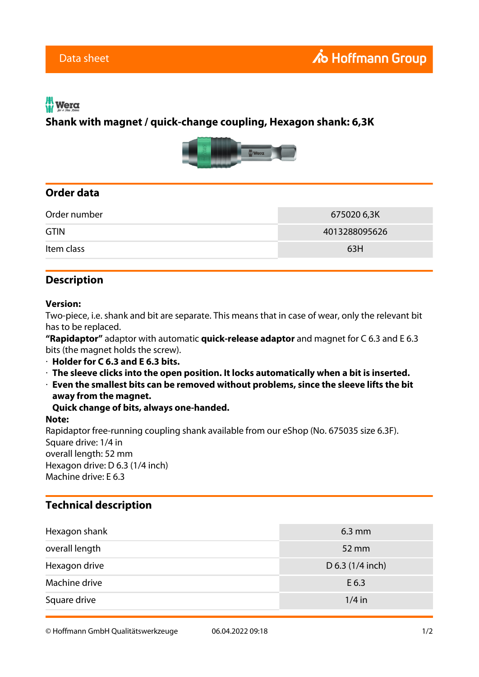# Wera

## **Shank with magnet / quick-change coupling, Hexagon shank: 6,3K**



## **Order data**

| Order number | 675020 6,3K   |
|--------------|---------------|
| <b>GTIN</b>  | 4013288095626 |
| Item class   | 63H           |

### **Description**

#### **Version:**

Two-piece, i.e. shank and bit are separate. This means that in case of wear, only the relevant bit has to be replaced.

**"Rapidaptor"** adaptor with automatic **quick-release adaptor** and magnet for C 6.3 and E 6.3 bits (the magnet holds the screw).

- · **Holder for C 6.3 and E 6.3 bits.**
- · **The sleeve clicks into the open position. It locks automatically when a bit is inserted.**
- · **Even the smallest bits can be removed without problems, since the sleeve lifts the bit away from the magnet.**

**Quick change of bits, always one-handed.**

#### **Note:**

Rapidaptor free-running coupling shank available from our eShop (No. 675035 size 6.3F). Square drive: 1/4 in overall length: 52 mm Hexagon drive: D 6.3 (1/4 inch) Machine drive: E 6.3

### **Technical description**

| Hexagon shank  | $6.3 \text{ mm}$   |
|----------------|--------------------|
| overall length | 52 mm              |
| Hexagon drive  | D $6.3$ (1/4 inch) |
| Machine drive  | E 6.3              |
| Square drive   | $1/4$ in           |